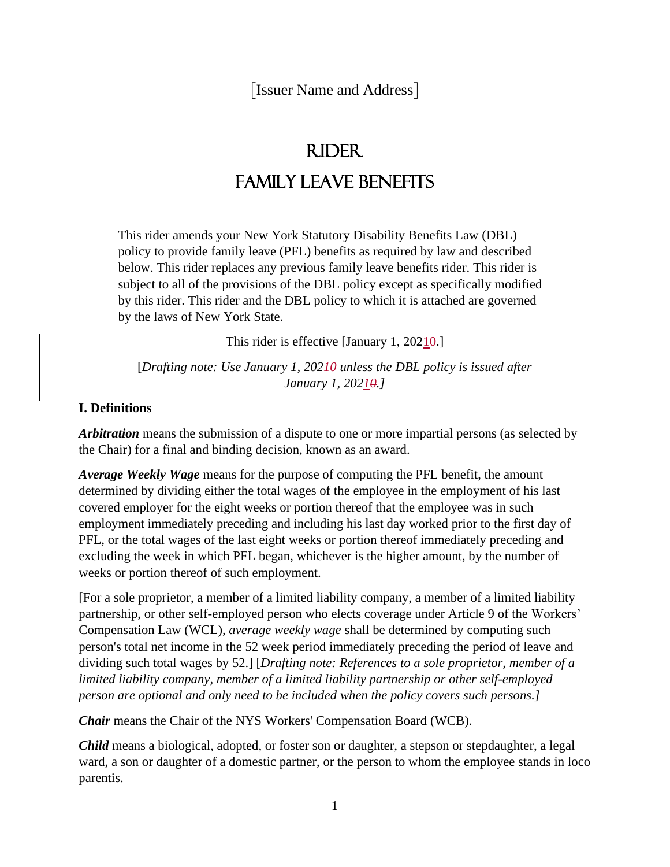[Issuer Name and Address]

# Rider Family Leave Benefits

This rider amends your New York Statutory Disability Benefits Law (DBL) policy to provide family leave (PFL) benefits as required by law and described below. This rider replaces any previous family leave benefits rider. This rider is subject to all of the provisions of the DBL policy except as specifically modified by this rider. This rider and the DBL policy to which it is attached are governed by the laws of New York State.

This rider is effective [January 1, 20210.]

[*Drafting note: Use January 1, 20210 unless the DBL policy is issued after January 1, 20210.]*

### **I. Definitions**

*Arbitration* means the submission of a dispute to one or more impartial persons (as selected by the Chair) for a final and binding decision, known as an award.

*Average Weekly Wage* means for the purpose of computing the PFL benefit, the amount determined by dividing either the total wages of the employee in the employment of his last covered employer for the eight weeks or portion thereof that the employee was in such employment immediately preceding and including his last day worked prior to the first day of PFL, or the total wages of the last eight weeks or portion thereof immediately preceding and excluding the week in which PFL began, whichever is the higher amount, by the number of weeks or portion thereof of such employment.

[For a sole proprietor, a member of a limited liability company, a member of a limited liability partnership, or other self-employed person who elects coverage under Article 9 of the Workers' Compensation Law (WCL), *average weekly wage* shall be determined by computing such person's total net income in the 52 week period immediately preceding the period of leave and dividing such total wages by 52.] [*Drafting note: References to a sole proprietor, member of a limited liability company, member of a limited liability partnership or other self-employed person are optional and only need to be included when the policy covers such persons.]*

*Chair* means the Chair of the NYS Workers' Compensation Board (WCB).

*Child* means a biological, adopted, or foster son or daughter, a stepson or stepdaughter, a legal ward, a son or daughter of a domestic partner, or the person to whom the employee stands in loco parentis.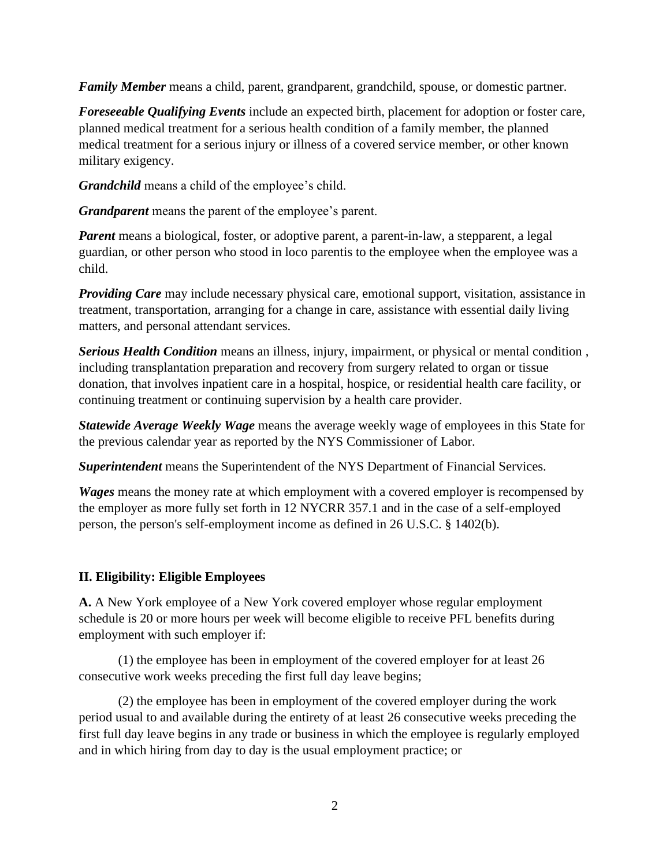*Family Member* means a child, parent, grandparent, grandchild, spouse, or domestic partner.

*Foreseeable Qualifying Events* include an expected birth, placement for adoption or foster care, planned medical treatment for a serious health condition of a family member, the planned medical treatment for a serious injury or illness of a covered service member, or other known military exigency.

*Grandchild* means a child of the employee's child.

*Grandparent* means the parent of the employee's parent.

*Parent* means a biological, foster, or adoptive parent, a parent-in-law, a stepparent, a legal guardian, or other person who stood in loco parentis to the employee when the employee was a child.

*Providing Care* may include necessary physical care, emotional support, visitation, assistance in treatment, transportation, arranging for a change in care, assistance with essential daily living matters, and personal attendant services.

*Serious Health Condition* means an illness, injury, impairment, or physical or mental condition , including transplantation preparation and recovery from surgery related to organ or tissue donation, that involves inpatient care in a hospital, hospice, or residential health care facility, or continuing treatment or continuing supervision by a health care provider.

*Statewide Average Weekly Wage* means the average weekly wage of employees in this State for the previous calendar year as reported by the NYS Commissioner of Labor.

*Superintendent* means the Superintendent of the NYS Department of Financial Services.

*Wages* means the money rate at which employment with a covered employer is recompensed by the employer as more fully set forth in 12 NYCRR 357.1 and in the case of a self-employed person, the person's self-employment income as defined in 26 U.S.C. § 1402(b).

# **II. Eligibility: Eligible Employees**

**A.** A New York employee of a New York covered employer whose regular employment schedule is 20 or more hours per week will become eligible to receive PFL benefits during employment with such employer if:

(1) the employee has been in employment of the covered employer for at least 26 consecutive work weeks preceding the first full day leave begins;

(2) the employee has been in employment of the covered employer during the work period usual to and available during the entirety of at least 26 consecutive weeks preceding the first full day leave begins in any trade or business in which the employee is regularly employed and in which hiring from day to day is the usual employment practice; or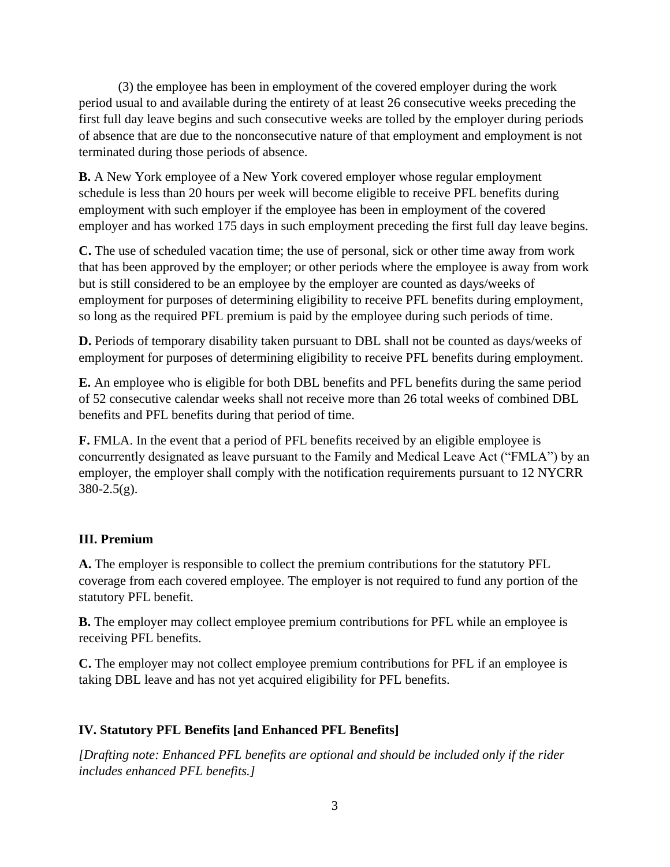(3) the employee has been in employment of the covered employer during the work period usual to and available during the entirety of at least 26 consecutive weeks preceding the first full day leave begins and such consecutive weeks are tolled by the employer during periods of absence that are due to the nonconsecutive nature of that employment and employment is not terminated during those periods of absence.

**B.** A New York employee of a New York covered employer whose regular employment schedule is less than 20 hours per week will become eligible to receive PFL benefits during employment with such employer if the employee has been in employment of the covered employer and has worked 175 days in such employment preceding the first full day leave begins.

**C.** The use of scheduled vacation time; the use of personal, sick or other time away from work that has been approved by the employer; or other periods where the employee is away from work but is still considered to be an employee by the employer are counted as days/weeks of employment for purposes of determining eligibility to receive PFL benefits during employment, so long as the required PFL premium is paid by the employee during such periods of time.

**D.** Periods of temporary disability taken pursuant to DBL shall not be counted as days/weeks of employment for purposes of determining eligibility to receive PFL benefits during employment.

**E.** An employee who is eligible for both DBL benefits and PFL benefits during the same period of 52 consecutive calendar weeks shall not receive more than 26 total weeks of combined DBL benefits and PFL benefits during that period of time.

**F.** FMLA. In the event that a period of PFL benefits received by an eligible employee is concurrently designated as leave pursuant to the Family and Medical Leave Act ("FMLA") by an employer, the employer shall comply with the notification requirements pursuant to 12 NYCRR  $380 - 2.5(g)$ .

# **III. Premium**

**A.** The employer is responsible to collect the premium contributions for the statutory PFL coverage from each covered employee. The employer is not required to fund any portion of the statutory PFL benefit.

**B.** The employer may collect employee premium contributions for PFL while an employee is receiving PFL benefits.

**C.** The employer may not collect employee premium contributions for PFL if an employee is taking DBL leave and has not yet acquired eligibility for PFL benefits.

# **IV. Statutory PFL Benefits [and Enhanced PFL Benefits]**

*[Drafting note: Enhanced PFL benefits are optional and should be included only if the rider includes enhanced PFL benefits.]*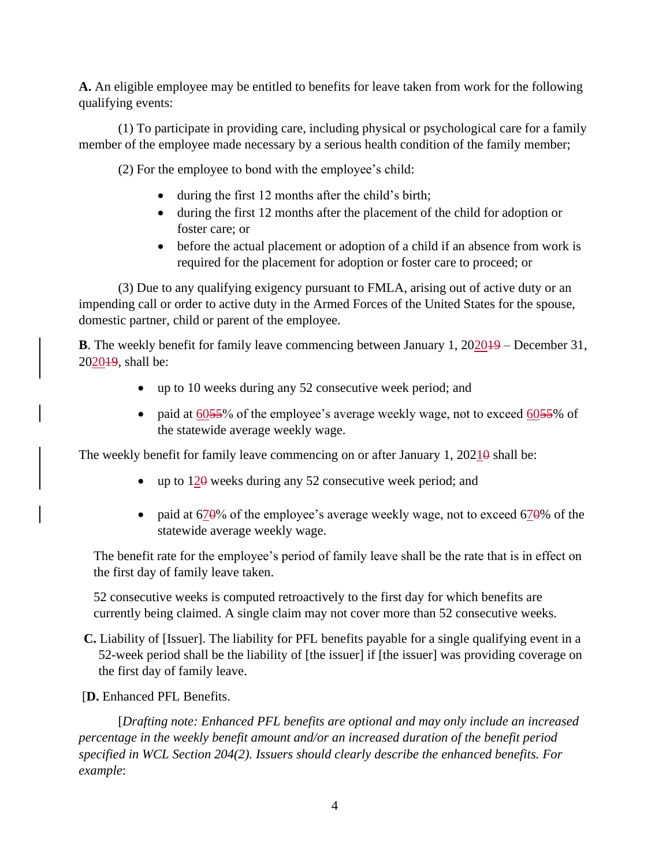**A.** An eligible employee may be entitled to benefits for leave taken from work for the following qualifying events:

(1) To participate in providing care, including physical or psychological care for a family member of the employee made necessary by a serious health condition of the family member;

(2) For the employee to bond with the employee's child:

- during the first 12 months after the child's birth;
- during the first 12 months after the placement of the child for adoption or foster care; or
- before the actual placement or adoption of a child if an absence from work is required for the placement for adoption or foster care to proceed; or

(3) Due to any qualifying exigency pursuant to FMLA, arising out of active duty or an impending call or order to active duty in the Armed Forces of the United States for the spouse, domestic partner, child or parent of the employee.

**B**. The weekly benefit for family leave commencing between January 1, 2020<del>19</del> – December 31, 202019, shall be:

- up to 10 weeks during any 52 consecutive week period; and
- paid at 6055% of the employee's average weekly wage, not to exceed 6055% of the statewide average weekly wage.

The weekly benefit for family leave commencing on or after January 1,  $2021\theta$  shall be:

- up to  $12\theta$  weeks during any 52 consecutive week period; and
- paid at  $670\%$  of the employee's average weekly wage, not to exceed  $670\%$  of the statewide average weekly wage.

The benefit rate for the employee's period of family leave shall be the rate that is in effect on the first day of family leave taken.

52 consecutive weeks is computed retroactively to the first day for which benefits are currently being claimed. A single claim may not cover more than 52 consecutive weeks.

- **C.** Liability of [Issuer]. The liability for PFL benefits payable for a single qualifying event in a 52-week period shall be the liability of [the issuer] if [the issuer] was providing coverage on the first day of family leave.
- [**D.** Enhanced PFL Benefits.

[*Drafting note: Enhanced PFL benefits are optional and may only include an increased percentage in the weekly benefit amount and/or an increased duration of the benefit period specified in WCL Section 204(2). Issuers should clearly describe the enhanced benefits. For example*: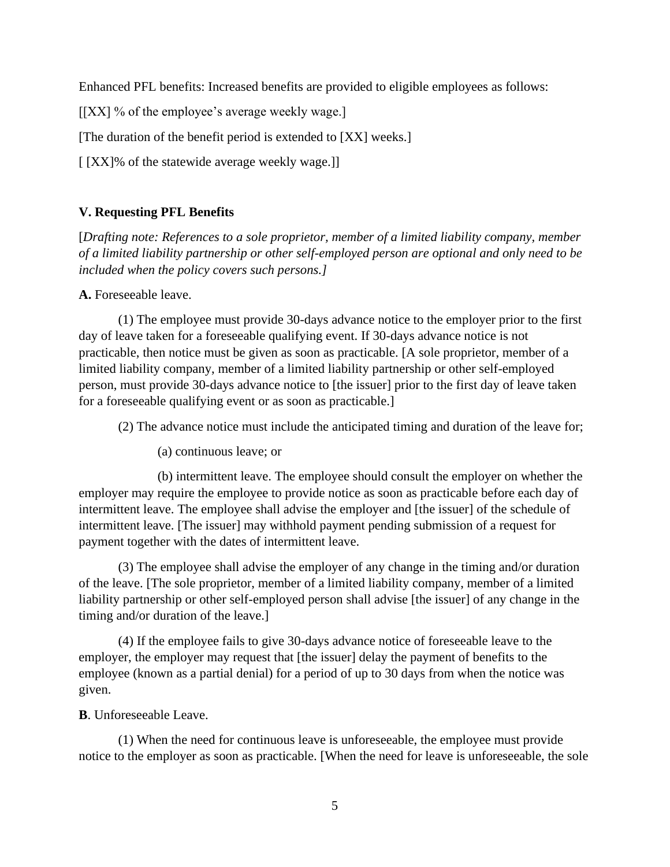Enhanced PFL benefits: Increased benefits are provided to eligible employees as follows:

 $[|XX|$  % of the employee's average weekly wage.]

[The duration of the benefit period is extended to [XX] weeks.]

[  $[XX]$ % of the statewide average weekly wage.]]

## **V. Requesting PFL Benefits**

[*Drafting note: References to a sole proprietor, member of a limited liability company, member of a limited liability partnership or other self-employed person are optional and only need to be included when the policy covers such persons.]*

**A.** Foreseeable leave.

(1) The employee must provide 30-days advance notice to the employer prior to the first day of leave taken for a foreseeable qualifying event. If 30-days advance notice is not practicable, then notice must be given as soon as practicable. [A sole proprietor, member of a limited liability company, member of a limited liability partnership or other self-employed person, must provide 30-days advance notice to [the issuer] prior to the first day of leave taken for a foreseeable qualifying event or as soon as practicable.]

(2) The advance notice must include the anticipated timing and duration of the leave for;

(a) continuous leave; or

(b) intermittent leave. The employee should consult the employer on whether the employer may require the employee to provide notice as soon as practicable before each day of intermittent leave. The employee shall advise the employer and [the issuer] of the schedule of intermittent leave. [The issuer] may withhold payment pending submission of a request for payment together with the dates of intermittent leave.

(3) The employee shall advise the employer of any change in the timing and/or duration of the leave. [The sole proprietor, member of a limited liability company, member of a limited liability partnership or other self-employed person shall advise [the issuer] of any change in the timing and/or duration of the leave.]

(4) If the employee fails to give 30-days advance notice of foreseeable leave to the employer, the employer may request that [the issuer] delay the payment of benefits to the employee (known as a partial denial) for a period of up to 30 days from when the notice was given.

**B**. Unforeseeable Leave.

(1) When the need for continuous leave is unforeseeable, the employee must provide notice to the employer as soon as practicable. [When the need for leave is unforeseeable, the sole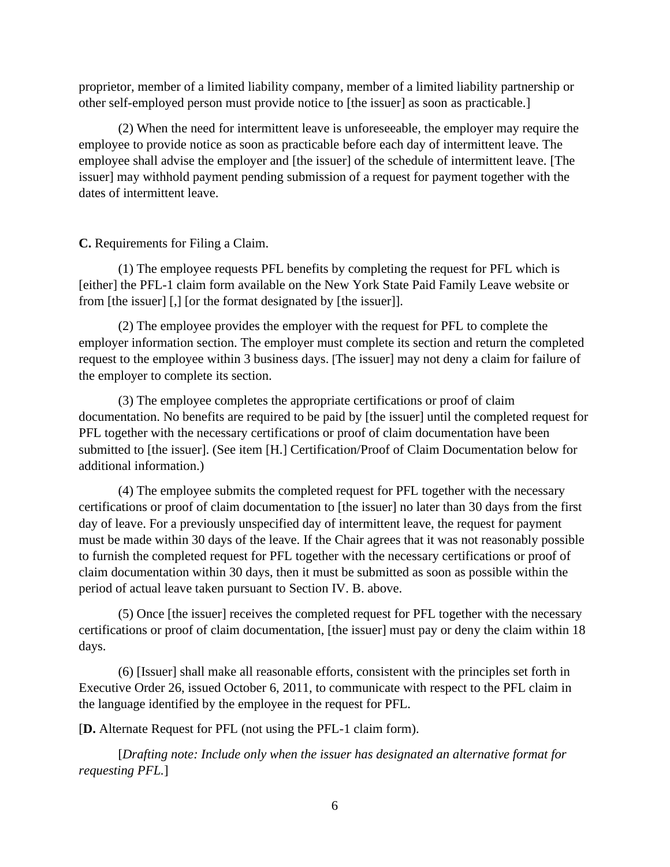proprietor, member of a limited liability company, member of a limited liability partnership or other self-employed person must provide notice to [the issuer] as soon as practicable.]

(2) When the need for intermittent leave is unforeseeable, the employer may require the employee to provide notice as soon as practicable before each day of intermittent leave. The employee shall advise the employer and [the issuer] of the schedule of intermittent leave. [The issuer] may withhold payment pending submission of a request for payment together with the dates of intermittent leave.

### **C.** Requirements for Filing a Claim.

(1) The employee requests PFL benefits by completing the request for PFL which is [either] the PFL-1 claim form available on the New York State Paid Family Leave website or from [the issuer] [,] [or the format designated by [the issuer]].

(2) The employee provides the employer with the request for PFL to complete the employer information section. The employer must complete its section and return the completed request to the employee within 3 business days. [The issuer] may not deny a claim for failure of the employer to complete its section.

(3) The employee completes the appropriate certifications or proof of claim documentation. No benefits are required to be paid by [the issuer] until the completed request for PFL together with the necessary certifications or proof of claim documentation have been submitted to [the issuer]. (See item [H.] Certification/Proof of Claim Documentation below for additional information.)

(4) The employee submits the completed request for PFL together with the necessary certifications or proof of claim documentation to [the issuer] no later than 30 days from the first day of leave. For a previously unspecified day of intermittent leave, the request for payment must be made within 30 days of the leave. If the Chair agrees that it was not reasonably possible to furnish the completed request for PFL together with the necessary certifications or proof of claim documentation within 30 days, then it must be submitted as soon as possible within the period of actual leave taken pursuant to Section IV. B. above.

(5) Once [the issuer] receives the completed request for PFL together with the necessary certifications or proof of claim documentation, [the issuer] must pay or deny the claim within 18 days.

(6) [Issuer] shall make all reasonable efforts, consistent with the principles set forth in Executive Order 26, issued October 6, 2011, to communicate with respect to the PFL claim in the language identified by the employee in the request for PFL.

[**D.** Alternate Request for PFL (not using the PFL-1 claim form).

[*Drafting note: Include only when the issuer has designated an alternative format for requesting PFL.*]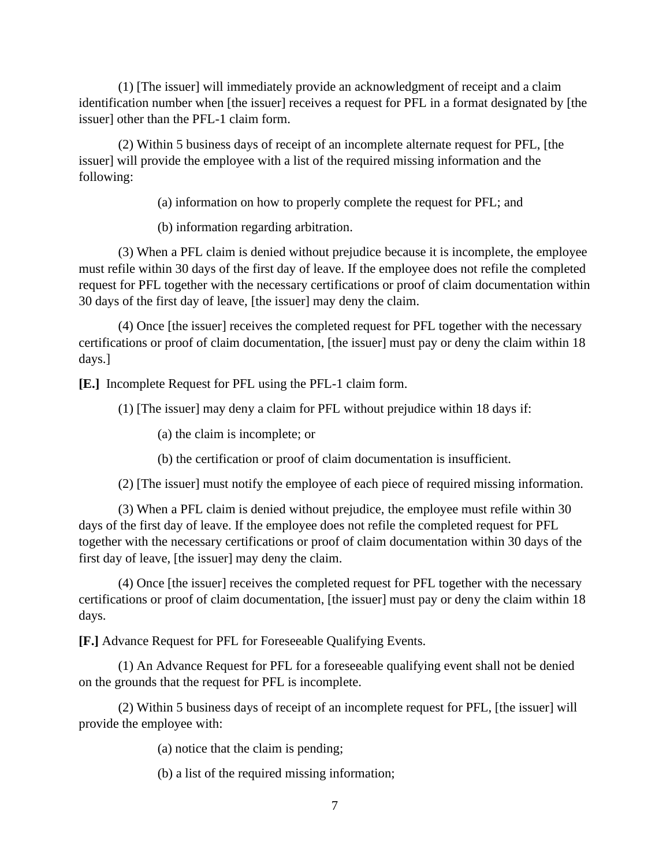(1) [The issuer] will immediately provide an acknowledgment of receipt and a claim identification number when [the issuer] receives a request for PFL in a format designated by [the issuer] other than the PFL-1 claim form.

(2) Within 5 business days of receipt of an incomplete alternate request for PFL, [the issuer] will provide the employee with a list of the required missing information and the following:

(a) information on how to properly complete the request for PFL; and

(b) information regarding arbitration.

(3) When a PFL claim is denied without prejudice because it is incomplete, the employee must refile within 30 days of the first day of leave. If the employee does not refile the completed request for PFL together with the necessary certifications or proof of claim documentation within 30 days of the first day of leave, [the issuer] may deny the claim.

(4) Once [the issuer] receives the completed request for PFL together with the necessary certifications or proof of claim documentation, [the issuer] must pay or deny the claim within 18 days.]

**[E.]** Incomplete Request for PFL using the PFL-1 claim form.

(1) [The issuer] may deny a claim for PFL without prejudice within 18 days if:

(a) the claim is incomplete; or

(b) the certification or proof of claim documentation is insufficient.

(2) [The issuer] must notify the employee of each piece of required missing information.

(3) When a PFL claim is denied without prejudice, the employee must refile within 30 days of the first day of leave. If the employee does not refile the completed request for PFL together with the necessary certifications or proof of claim documentation within 30 days of the first day of leave, [the issuer] may deny the claim.

(4) Once [the issuer] receives the completed request for PFL together with the necessary certifications or proof of claim documentation, [the issuer] must pay or deny the claim within 18 days.

**[F.]** Advance Request for PFL for Foreseeable Qualifying Events.

(1) An Advance Request for PFL for a foreseeable qualifying event shall not be denied on the grounds that the request for PFL is incomplete.

(2) Within 5 business days of receipt of an incomplete request for PFL, [the issuer] will provide the employee with:

(a) notice that the claim is pending;

(b) a list of the required missing information;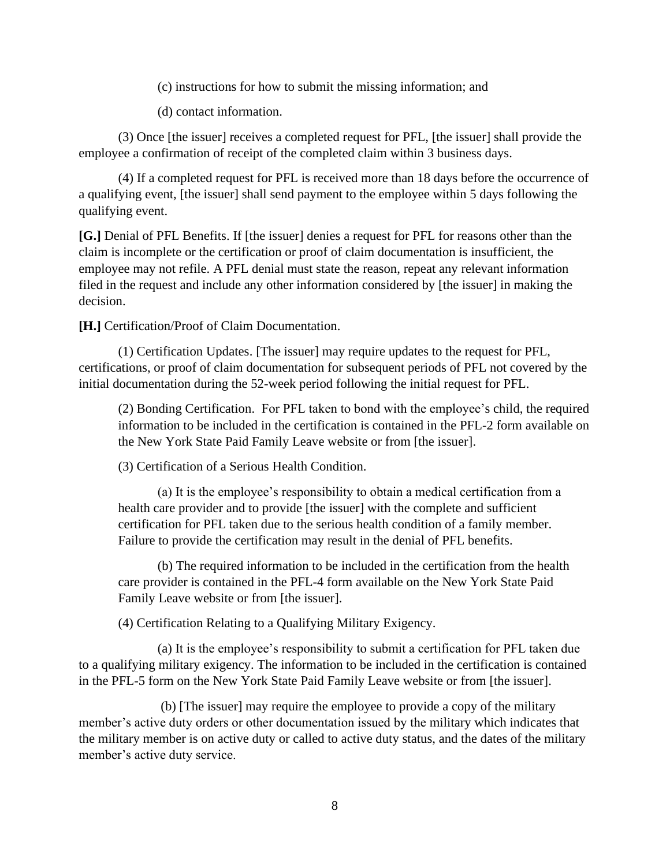(c) instructions for how to submit the missing information; and

(d) contact information.

(3) Once [the issuer] receives a completed request for PFL, [the issuer] shall provide the employee a confirmation of receipt of the completed claim within 3 business days.

(4) If a completed request for PFL is received more than 18 days before the occurrence of a qualifying event, [the issuer] shall send payment to the employee within 5 days following the qualifying event.

**[G.]** Denial of PFL Benefits. If [the issuer] denies a request for PFL for reasons other than the claim is incomplete or the certification or proof of claim documentation is insufficient, the employee may not refile. A PFL denial must state the reason, repeat any relevant information filed in the request and include any other information considered by [the issuer] in making the decision.

**[H.]** Certification/Proof of Claim Documentation.

(1) Certification Updates. [The issuer] may require updates to the request for PFL, certifications, or proof of claim documentation for subsequent periods of PFL not covered by the initial documentation during the 52-week period following the initial request for PFL.

(2) Bonding Certification. For PFL taken to bond with the employee's child, the required information to be included in the certification is contained in the PFL-2 form available on the New York State Paid Family Leave website or from [the issuer].

(3) Certification of a Serious Health Condition.

(a) It is the employee's responsibility to obtain a medical certification from a health care provider and to provide [the issuer] with the complete and sufficient certification for PFL taken due to the serious health condition of a family member. Failure to provide the certification may result in the denial of PFL benefits.

(b) The required information to be included in the certification from the health care provider is contained in the PFL-4 form available on the New York State Paid Family Leave website or from [the issuer].

(4) Certification Relating to a Qualifying Military Exigency.

(a) It is the employee's responsibility to submit a certification for PFL taken due to a qualifying military exigency. The information to be included in the certification is contained in the PFL-5 form on the New York State Paid Family Leave website or from [the issuer].

(b) [The issuer] may require the employee to provide a copy of the military member's active duty orders or other documentation issued by the military which indicates that the military member is on active duty or called to active duty status, and the dates of the military member's active duty service.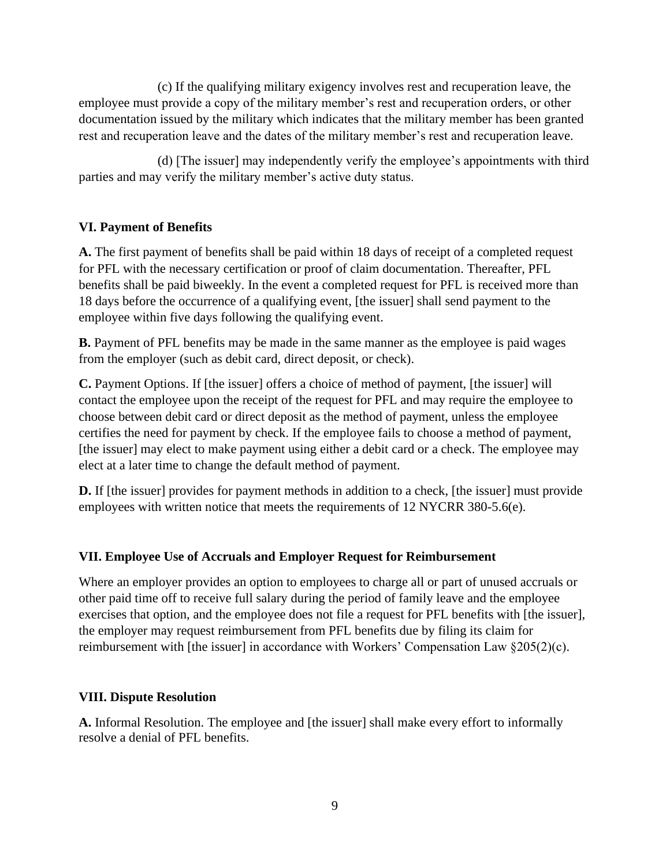(c) If the qualifying military exigency involves rest and recuperation leave, the employee must provide a copy of the military member's rest and recuperation orders, or other documentation issued by the military which indicates that the military member has been granted rest and recuperation leave and the dates of the military member's rest and recuperation leave.

(d) [The issuer] may independently verify the employee's appointments with third parties and may verify the military member's active duty status.

# **VI. Payment of Benefits**

**A.** The first payment of benefits shall be paid within 18 days of receipt of a completed request for PFL with the necessary certification or proof of claim documentation. Thereafter, PFL benefits shall be paid biweekly. In the event a completed request for PFL is received more than 18 days before the occurrence of a qualifying event, [the issuer] shall send payment to the employee within five days following the qualifying event.

**B.** Payment of PFL benefits may be made in the same manner as the employee is paid wages from the employer (such as debit card, direct deposit, or check).

**C.** Payment Options. If [the issuer] offers a choice of method of payment, [the issuer] will contact the employee upon the receipt of the request for PFL and may require the employee to choose between debit card or direct deposit as the method of payment, unless the employee certifies the need for payment by check. If the employee fails to choose a method of payment, [the issuer] may elect to make payment using either a debit card or a check. The employee may elect at a later time to change the default method of payment.

**D.** If [the issuer] provides for payment methods in addition to a check, [the issuer] must provide employees with written notice that meets the requirements of 12 NYCRR 380-5.6(e).

# **VII. Employee Use of Accruals and Employer Request for Reimbursement**

Where an employer provides an option to employees to charge all or part of unused accruals or other paid time off to receive full salary during the period of family leave and the employee exercises that option, and the employee does not file a request for PFL benefits with [the issuer], the employer may request reimbursement from PFL benefits due by filing its claim for reimbursement with [the issuer] in accordance with Workers' Compensation Law §205(2)(c).

### **VIII. Dispute Resolution**

**A.** Informal Resolution. The employee and [the issuer] shall make every effort to informally resolve a denial of PFL benefits.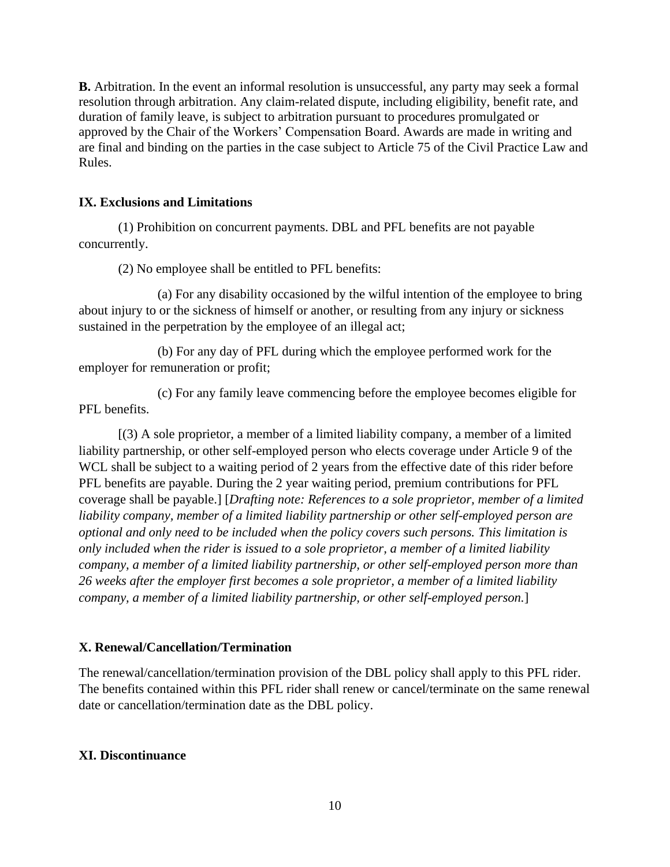**B.** Arbitration. In the event an informal resolution is unsuccessful, any party may seek a formal resolution through arbitration. Any claim-related dispute, including eligibility, benefit rate, and duration of family leave, is subject to arbitration pursuant to procedures promulgated or approved by the Chair of the Workers' Compensation Board. Awards are made in writing and are final and binding on the parties in the case subject to Article 75 of the Civil Practice Law and Rules.

## **IX. Exclusions and Limitations**

(1) Prohibition on concurrent payments. DBL and PFL benefits are not payable concurrently.

(2) No employee shall be entitled to PFL benefits:

(a) For any disability occasioned by the wilful intention of the employee to bring about injury to or the sickness of himself or another, or resulting from any injury or sickness sustained in the perpetration by the employee of an illegal act;

(b) For any day of PFL during which the employee performed work for the employer for remuneration or profit;

(c) For any family leave commencing before the employee becomes eligible for PFL benefits.

[(3) A sole proprietor, a member of a limited liability company, a member of a limited liability partnership, or other self-employed person who elects coverage under Article 9 of the WCL shall be subject to a waiting period of 2 years from the effective date of this rider before PFL benefits are payable. During the 2 year waiting period, premium contributions for PFL coverage shall be payable.] [*Drafting note: References to a sole proprietor, member of a limited liability company, member of a limited liability partnership or other self-employed person are optional and only need to be included when the policy covers such persons. This limitation is only included when the rider is issued to a sole proprietor, a member of a limited liability company, a member of a limited liability partnership, or other self-employed person more than 26 weeks after the employer first becomes a sole proprietor, a member of a limited liability company, a member of a limited liability partnership, or other self-employed person.*]

# **X. Renewal/Cancellation/Termination**

The renewal/cancellation/termination provision of the DBL policy shall apply to this PFL rider. The benefits contained within this PFL rider shall renew or cancel/terminate on the same renewal date or cancellation/termination date as the DBL policy.

# **XI. Discontinuance**